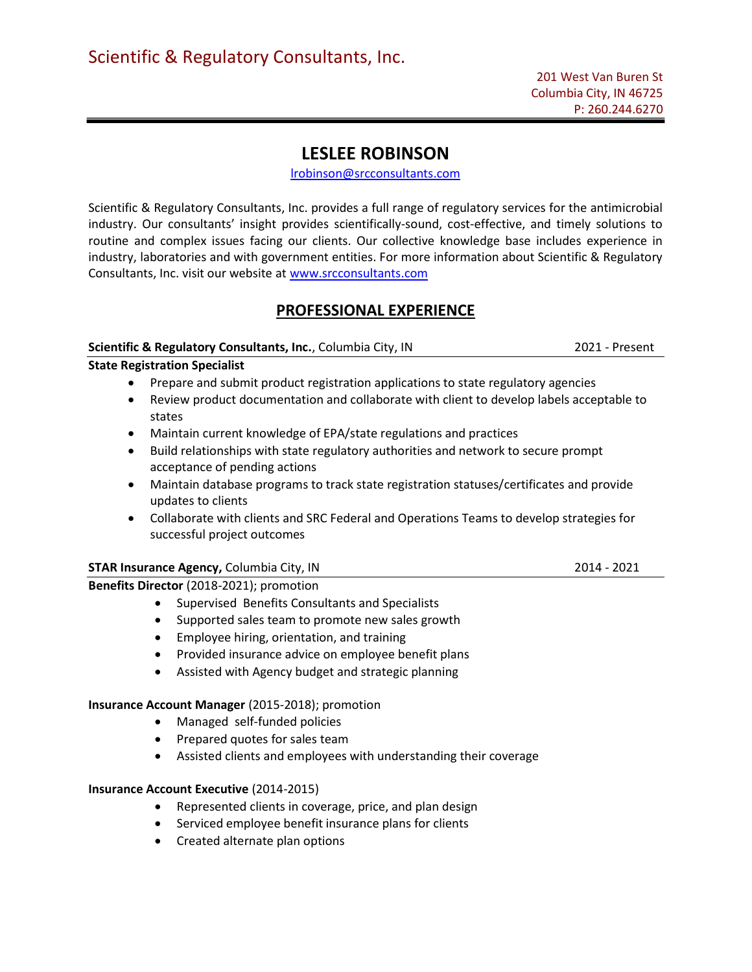# LESLEE ROBINSON

lrobinson@srcconsultants.com

Scientific & Regulatory Consultants, Inc. provides a full range of regulatory services for the antimicrobial industry. Our consultants' insight provides scientifically-sound, cost-effective, and timely solutions to routine and complex issues facing our clients. Our collective knowledge base includes experience in industry, laboratories and with government entities. For more information about Scientific & Regulatory Consultants, Inc. visit our website at www.srcconsultants.com

## PROFESSIONAL EXPERIENCE

## Scientific & Regulatory Consultants, Inc., Columbia City, IN 2021 - Present

State Registration Specialist

- Prepare and submit product registration applications to state regulatory agencies
- Review product documentation and collaborate with client to develop labels acceptable to states
- Maintain current knowledge of EPA/state regulations and practices
- Build relationships with state regulatory authorities and network to secure prompt acceptance of pending actions
- Maintain database programs to track state registration statuses/certificates and provide updates to clients
- Collaborate with clients and SRC Federal and Operations Teams to develop strategies for successful project outcomes

## STAR Insurance Agency, Columbia City, IN 2014 - 2021

Benefits Director (2018-2021); promotion

- Supervised Benefits Consultants and Specialists
- Supported sales team to promote new sales growth
- Employee hiring, orientation, and training
- Provided insurance advice on employee benefit plans
- Assisted with Agency budget and strategic planning

## Insurance Account Manager (2015-2018); promotion

- Managed self-funded policies
- Prepared quotes for sales team
- Assisted clients and employees with understanding their coverage

## Insurance Account Executive (2014-2015)

- Represented clients in coverage, price, and plan design
- Serviced employee benefit insurance plans for clients
- Created alternate plan options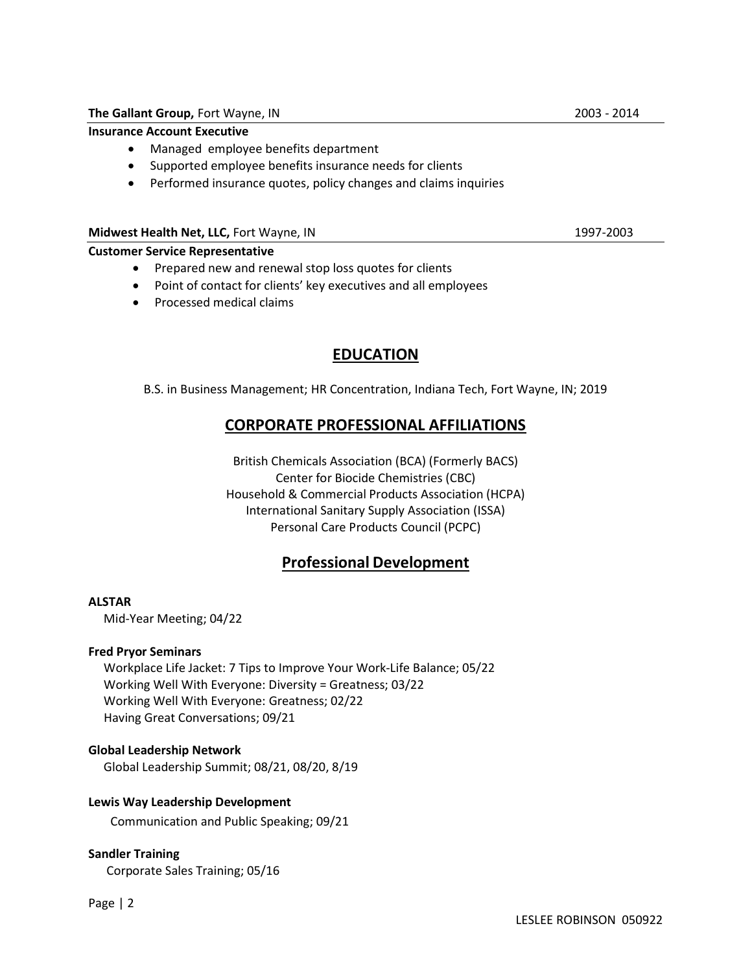### Insurance Account Executive

- Managed employee benefits department
- Supported employee benefits insurance needs for clients
- Performed insurance quotes, policy changes and claims inquiries

#### Midwest Health Net, LLC, Fort Wayne, IN 1997-2003

#### Customer Service Representative

- Prepared new and renewal stop loss quotes for clients
- Point of contact for clients' key executives and all employees
- Processed medical claims

## EDUCATION

B.S. in Business Management; HR Concentration, Indiana Tech, Fort Wayne, IN; 2019

## CORPORATE PROFESSIONAL AFFILIATIONS

British Chemicals Association (BCA) (Formerly BACS) Center for Biocide Chemistries (CBC) Household & Commercial Products Association (HCPA) International Sanitary Supply Association (ISSA) Personal Care Products Council (PCPC)

## Professional Development

### ALSTAR

Mid-Year Meeting; 04/22

### Fred Pryor Seminars

 Workplace Life Jacket: 7 Tips to Improve Your Work-Life Balance; 05/22 Working Well With Everyone: Diversity = Greatness; 03/22 Working Well With Everyone: Greatness; 02/22 Having Great Conversations; 09/21

### Global Leadership Network

Global Leadership Summit; 08/21, 08/20, 8/19

### Lewis Way Leadership Development

Communication and Public Speaking; 09/21

### Sandler Training

Corporate Sales Training; 05/16

Page | 2